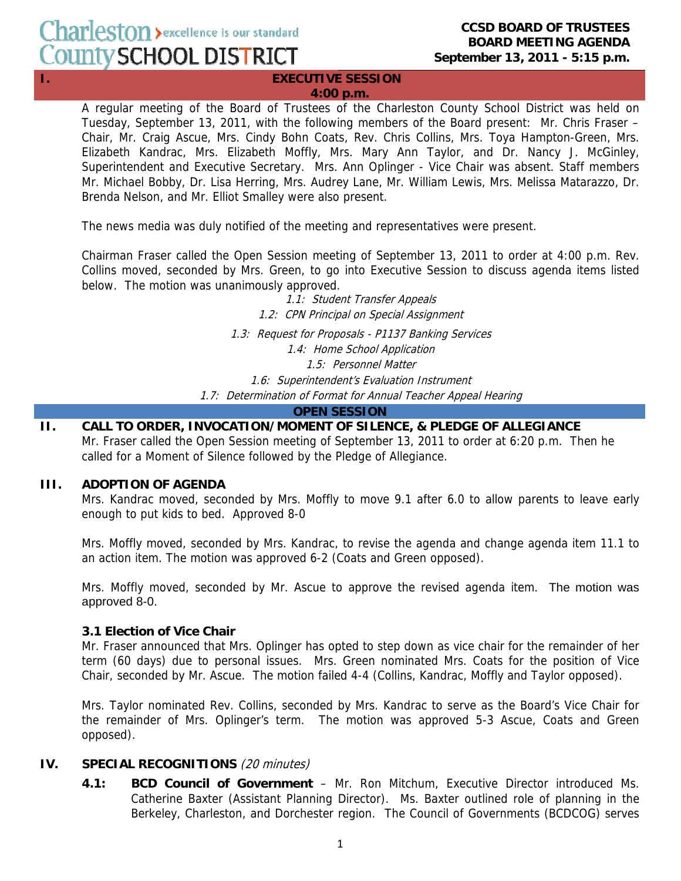#### **I.** EXECUTIVE SESSION **4:00 p.m.**

A regular meeting of the Board of Trustees of the Charleston County School District was held on Tuesday, September 13, 2011, with the following members of the Board present: Mr. Chris Fraser – Chair, Mr. Craig Ascue, Mrs. Cindy Bohn Coats, Rev. Chris Collins, Mrs. Toya Hampton-Green, Mrs. Elizabeth Kandrac, Mrs. Elizabeth Moffly, Mrs. Mary Ann Taylor, and Dr. Nancy J. McGinley, Superintendent and Executive Secretary. Mrs. Ann Oplinger - Vice Chair was absent. Staff members Mr. Michael Bobby, Dr. Lisa Herring, Mrs. Audrey Lane, Mr. William Lewis, Mrs. Melissa Matarazzo, Dr. Brenda Nelson, and Mr. Elliot Smalley were also present.

The news media was duly notified of the meeting and representatives were present.

Chairman Fraser called the Open Session meeting of September 13, 2011 to order at 4:00 p.m. Rev. Collins moved, seconded by Mrs. Green, to go into Executive Session to discuss agenda items listed below. The motion was unanimously approved.

> 1.1: Student Transfer Appeals 1.2: CPN Principal on Special Assignment 1.3: Request for Proposals - P1137 Banking Services 1.4: Home School Application 1.5: Personnel Matter 1.6: Superintendent's Evaluation Instrument 1.7: Determination of Format for Annual Teacher Appeal Hearing

**OPEN SESSION**

#### **II. CALL TO ORDER, INVOCATION/MOMENT OF SILENCE, & PLEDGE OF ALLEGIANCE**  Mr. Fraser called the Open Session meeting of September 13, 2011 to order at 6:20 p.m. Then he called for a Moment of Silence followed by the Pledge of Allegiance.

### **III. ADOPTION OF AGENDA**

Mrs. Kandrac moved, seconded by Mrs. Moffly to move 9.1 after 6.0 to allow parents to leave early enough to put kids to bed. Approved 8-0

Mrs. Moffly moved, seconded by Mrs. Kandrac, to revise the agenda and change agenda item 11.1 to an action item. The motion was approved 6-2 (Coats and Green opposed).

Mrs. Moffly moved, seconded by Mr. Ascue to approve the revised agenda item. The motion was approved 8-0.

### **3.1 Election of Vice Chair**

Mr. Fraser announced that Mrs. Oplinger has opted to step down as vice chair for the remainder of her term (60 days) due to personal issues. Mrs. Green nominated Mrs. Coats for the position of Vice Chair, seconded by Mr. Ascue. The motion failed 4-4 (Collins, Kandrac, Moffly and Taylor opposed).

Mrs. Taylor nominated Rev. Collins, seconded by Mrs. Kandrac to serve as the Board's Vice Chair for the remainder of Mrs. Oplinger's term. The motion was approved 5-3 Ascue, Coats and Green opposed).

### **IV. SPECIAL RECOGNITIONS** (20 minutes)

 **4.1: BCD Council of Government** – Mr. Ron Mitchum, Executive Director introduced Ms. Catherine Baxter (Assistant Planning Director). Ms. Baxter outlined role of planning in the Berkeley, Charleston, and Dorchester region. The Council of Governments (BCDCOG) serves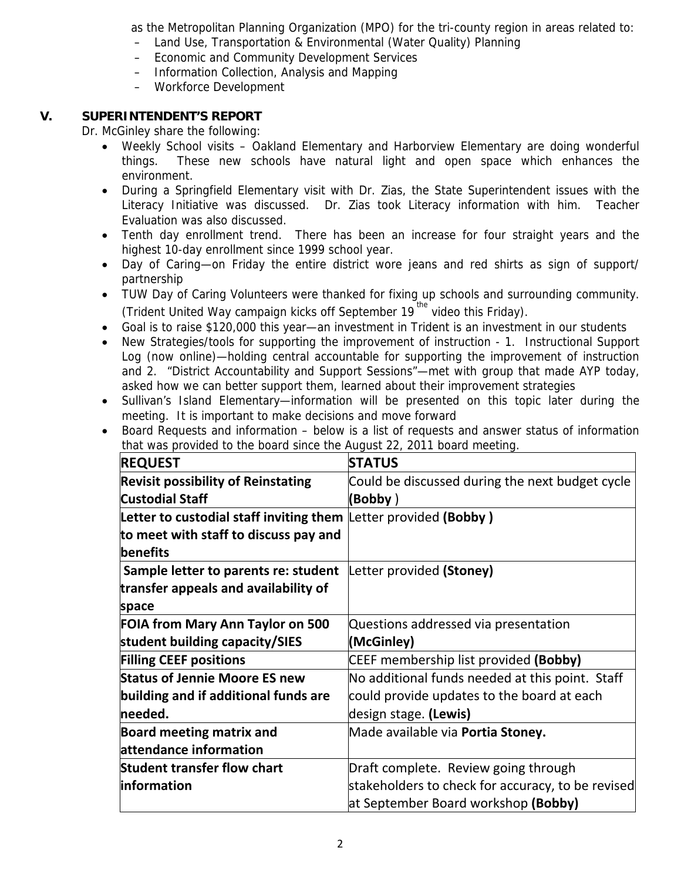as the Metropolitan Planning Organization (MPO) for the tri-county region in areas related to:

- Land Use, Transportation & Environmental (Water Quality) Planning
- Economic and Community Development Services
- Information Collection, Analysis and Mapping
- Workforce Development

# **V. SUPERINTENDENT'S REPORT**

Dr. McGinley share the following:

- Weekly School visits Oakland Elementary and Harborview Elementary are doing wonderful things. These new schools have natural light and open space which enhances the environment.
- During a Springfield Elementary visit with Dr. Zias, the State Superintendent issues with the Literacy Initiative was discussed. Dr. Zias took Literacy information with him. Teacher Evaluation was also discussed.
- Tenth day enrollment trend. There has been an increase for four straight years and the highest 10-day enrollment since 1999 school year.
- Day of Caring—on Friday the entire district wore jeans and red shirts as sign of support/ partnership
- TUW Day of Caring Volunteers were thanked for fixing up schools and surrounding community. (Trident United Way campaign kicks off September  $19^{th}$  video this Friday).
- Goal is to raise \$120,000 this year—an investment in Trident is an investment in our students
- New Strategies/tools for supporting the improvement of instruction 1. Instructional Support Log (now online)—holding central accountable for supporting the improvement of instruction and 2. "District Accountability and Support Sessions"—met with group that made AYP today, asked how we can better support them, learned about their improvement strategies
- Sullivan's Island Elementary—information will be presented on this topic later during the meeting. It is important to make decisions and move forward
- Board Requests and information below is a list of requests and answer status of information that was provided to the board since the August 22, 2011 board meeting.

| <b>REQUEST</b>                                                  | <b>STATUS</b>                                     |
|-----------------------------------------------------------------|---------------------------------------------------|
| <b>Revisit possibility of Reinstating</b>                       | Could be discussed during the next budget cycle   |
| <b>Custodial Staff</b>                                          | (Bobby)                                           |
| Letter to custodial staff inviting them Letter provided (Bobby) |                                                   |
| to meet with staff to discuss pay and                           |                                                   |
| <b>benefits</b>                                                 |                                                   |
| Sample letter to parents re: student                            | Letter provided (Stoney)                          |
| transfer appeals and availability of                            |                                                   |
| space                                                           |                                                   |
| <b>FOIA from Mary Ann Taylor on 500</b>                         | Questions addressed via presentation              |
|                                                                 |                                                   |
| student building capacity/SIES                                  | (McGinley)                                        |
| <b>Filling CEEF positions</b>                                   | CEEF membership list provided (Bobby)             |
| <b>Status of Jennie Moore ES new</b>                            | No additional funds needed at this point. Staff   |
| building and if additional funds are                            | could provide updates to the board at each        |
| needed.                                                         | design stage. (Lewis)                             |
| <b>Board meeting matrix and</b>                                 | Made available via Portia Stoney.                 |
| attendance information                                          |                                                   |
| <b>Student transfer flow chart</b>                              | Draft complete. Review going through              |
| information                                                     | stakeholders to check for accuracy, to be revised |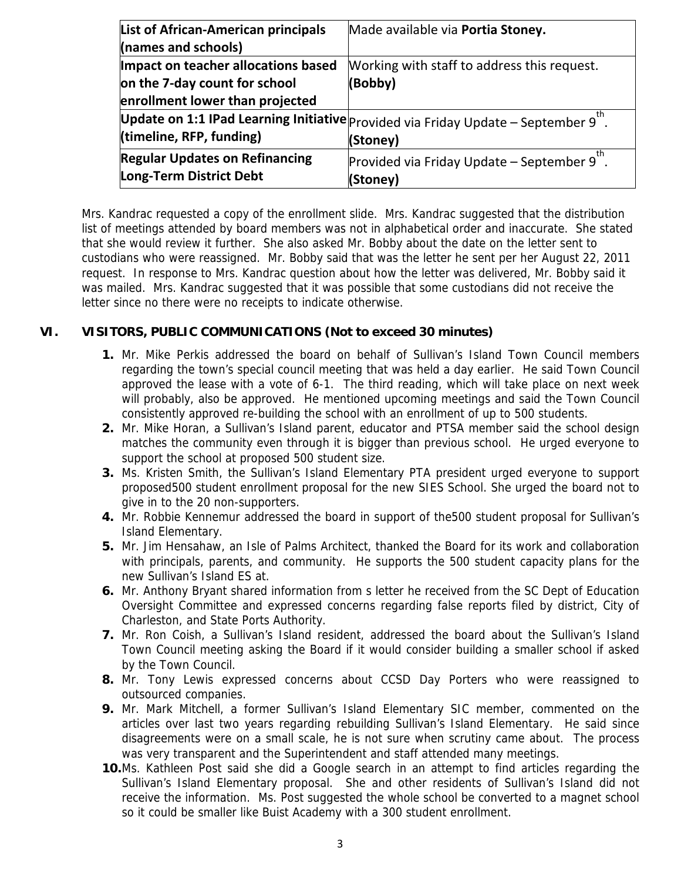| <b>List of African-American principals</b> | Made available via Portia Stoney.                                                     |
|--------------------------------------------|---------------------------------------------------------------------------------------|
| (names and schools)                        |                                                                                       |
| Impact on teacher allocations based        | Working with staff to address this request.                                           |
| on the 7-day count for school              | (Bobby)                                                                               |
| enrollment lower than projected            |                                                                                       |
|                                            | Update on 1:1 IPad Learning Initiative $ $ Provided via Friday Update – September 9". |
| (timeline, RFP, funding)                   | (Stoney)                                                                              |
| <b>Regular Updates on Refinancing</b>      | Provided via Friday Update - September 9".                                            |
| Long-Term District Debt                    | (Stoney)                                                                              |

Mrs. Kandrac requested a copy of the enrollment slide. Mrs. Kandrac suggested that the distribution list of meetings attended by board members was not in alphabetical order and inaccurate. She stated that she would review it further. She also asked Mr. Bobby about the date on the letter sent to custodians who were reassigned. Mr. Bobby said that was the letter he sent per her August 22, 2011 request. In response to Mrs. Kandrac question about how the letter was delivered, Mr. Bobby said it was mailed. Mrs. Kandrac suggested that it was possible that some custodians did not receive the letter since no there were no receipts to indicate otherwise.

## **VI. VISITORS, PUBLIC COMMUNICATIONS (Not to exceed 30 minutes)**

- **1.** Mr. Mike Perkis addressed the board on behalf of Sullivan's Island Town Council members regarding the town's special council meeting that was held a day earlier. He said Town Council approved the lease with a vote of 6-1. The third reading, which will take place on next week will probably, also be approved. He mentioned upcoming meetings and said the Town Council consistently approved re-building the school with an enrollment of up to 500 students.
- **2.** Mr. Mike Horan, a Sullivan's Island parent, educator and PTSA member said the school design matches the community even through it is bigger than previous school. He urged everyone to support the school at proposed 500 student size.
- **3.** Ms. Kristen Smith, the Sullivan's Island Elementary PTA president urged everyone to support proposed500 student enrollment proposal for the new SIES School. She urged the board not to give in to the 20 non-supporters.
- **4.** Mr. Robbie Kennemur addressed the board in support of the500 student proposal for Sullivan's Island Elementary.
- **5.** Mr. Jim Hensahaw, an Isle of Palms Architect, thanked the Board for its work and collaboration with principals, parents, and community. He supports the 500 student capacity plans for the new Sullivan's Island ES at.
- **6.** Mr. Anthony Bryant shared information from s letter he received from the SC Dept of Education Oversight Committee and expressed concerns regarding false reports filed by district, City of Charleston, and State Ports Authority.
- **7.** Mr. Ron Coish, a Sullivan's Island resident, addressed the board about the Sullivan's Island Town Council meeting asking the Board if it would consider building a smaller school if asked by the Town Council.
- **8.** Mr. Tony Lewis expressed concerns about CCSD Day Porters who were reassigned to outsourced companies.
- **9.** Mr. Mark Mitchell, a former Sullivan's Island Elementary SIC member, commented on the articles over last two years regarding rebuilding Sullivan's Island Elementary. He said since disagreements were on a small scale, he is not sure when scrutiny came about. The process was very transparent and the Superintendent and staff attended many meetings.
- **10.**Ms. Kathleen Post said she did a Google search in an attempt to find articles regarding the Sullivan's Island Elementary proposal. She and other residents of Sullivan's Island did not receive the information. Ms. Post suggested the whole school be converted to a magnet school so it could be smaller like Buist Academy with a 300 student enrollment.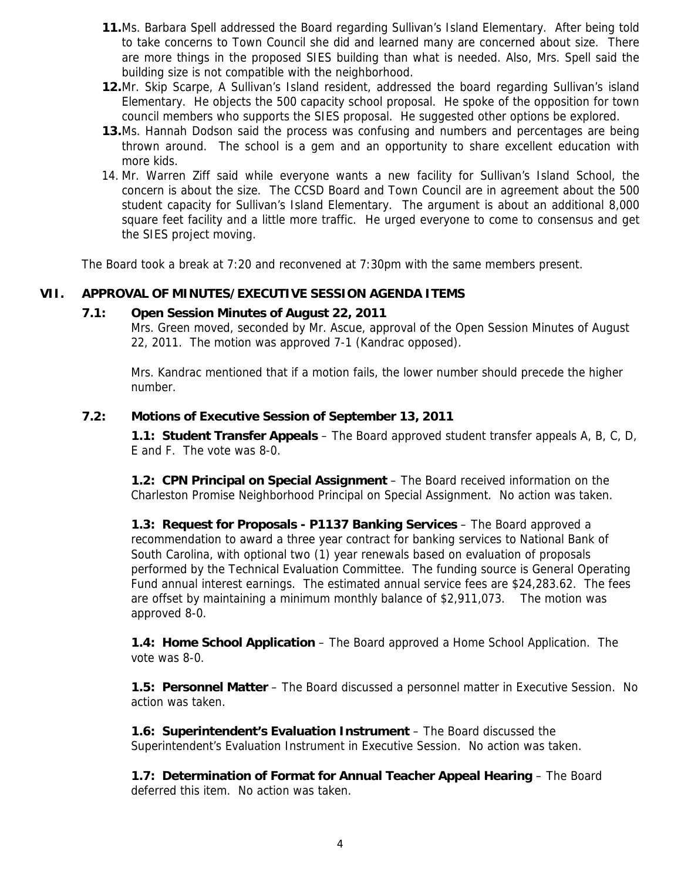- **11.**Ms. Barbara Spell addressed the Board regarding Sullivan's Island Elementary. After being told to take concerns to Town Council she did and learned many are concerned about size. There are more things in the proposed SIES building than what is needed. Also, Mrs. Spell said the building size is not compatible with the neighborhood.
- **12.**Mr. Skip Scarpe, A Sullivan's Island resident, addressed the board regarding Sullivan's island Elementary. He objects the 500 capacity school proposal. He spoke of the opposition for town council members who supports the SIES proposal. He suggested other options be explored.
- **13.**Ms. Hannah Dodson said the process was confusing and numbers and percentages are being thrown around. The school is a gem and an opportunity to share excellent education with more kids.
- 14. Mr. Warren Ziff said while everyone wants a new facility for Sullivan's Island School, the concern is about the size. The CCSD Board and Town Council are in agreement about the 500 student capacity for Sullivan's Island Elementary. The argument is about an additional 8,000 square feet facility and a little more traffic. He urged everyone to come to consensus and get the SIES project moving.

The Board took a break at 7:20 and reconvened at 7:30pm with the same members present.

### **VII. APPROVAL OF MINUTES/EXECUTIVE SESSION AGENDA ITEMS**

### **7.1: Open Session Minutes of August 22, 2011**

Mrs. Green moved, seconded by Mr. Ascue, approval of the Open Session Minutes of August 22, 2011. The motion was approved 7-1 (Kandrac opposed).

Mrs. Kandrac mentioned that if a motion fails, the lower number should precede the higher number.

### **7.2: Motions of Executive Session of September 13, 2011**

 **1.1: Student Transfer Appeals** – The Board approved student transfer appeals A, B, C, D, E and F. The vote was 8-0.

 **1.2: CPN Principal on Special Assignment** – The Board received information on the Charleston Promise Neighborhood Principal on Special Assignment. No action was taken.

 **1.3: Request for Proposals - P1137 Banking Services** – The Board approved a recommendation to award a three year contract for banking services to National Bank of South Carolina, with optional two (1) year renewals based on evaluation of proposals performed by the Technical Evaluation Committee. The funding source is General Operating Fund annual interest earnings. The estimated annual service fees are \$24,283.62. The fees are offset by maintaining a minimum monthly balance of \$2,911,073. The motion was approved 8-0.

 **1.4: Home School Application** – The Board approved a Home School Application. The vote was 8-0.

 **1.5: Personnel Matter** – The Board discussed a personnel matter in Executive Session. No action was taken.

 **1.6: Superintendent's Evaluation Instrument** – The Board discussed the Superintendent's Evaluation Instrument in Executive Session. No action was taken.

 **1.7: Determination of Format for Annual Teacher Appeal Hearing** – The Board deferred this item. No action was taken.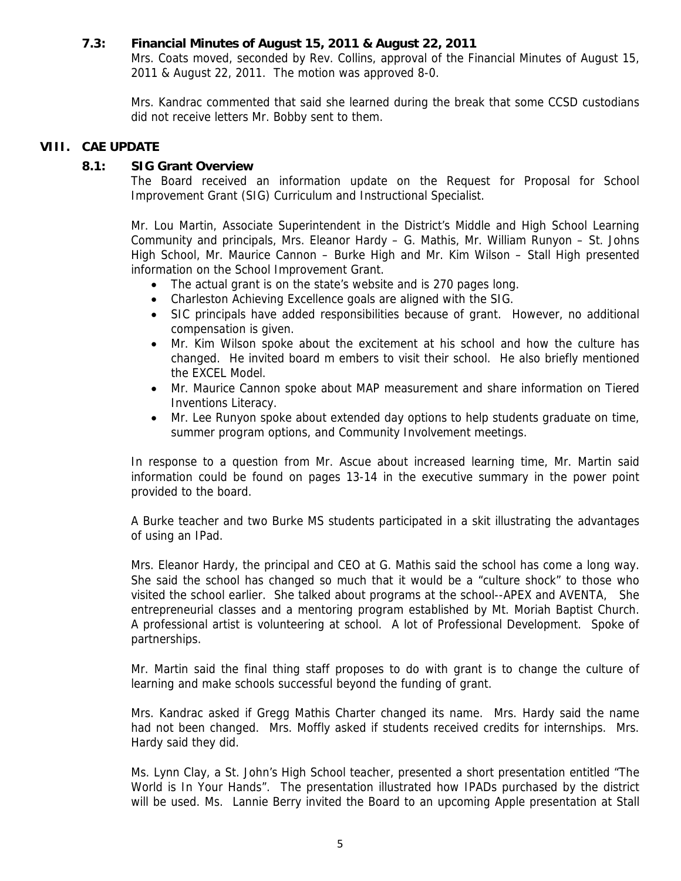## **7.3: Financial Minutes of August 15, 2011 & August 22, 2011**

Mrs. Coats moved, seconded by Rev. Collins, approval of the Financial Minutes of August 15, 2011 & August 22, 2011. The motion was approved 8-0.

Mrs. Kandrac commented that said she learned during the break that some CCSD custodians did not receive letters Mr. Bobby sent to them.

## **VIII. CAE UPDATE**

## **8.1: SIG Grant Overview**

The Board received an information update on the Request for Proposal for School Improvement Grant (SIG) Curriculum and Instructional Specialist.

Mr. Lou Martin, Associate Superintendent in the District's Middle and High School Learning Community and principals, Mrs. Eleanor Hardy – G. Mathis, Mr. William Runyon – St. Johns High School, Mr. Maurice Cannon – Burke High and Mr. Kim Wilson – Stall High presented information on the School Improvement Grant.

- The actual grant is on the state's website and is 270 pages long.
- Charleston Achieving Excellence goals are aligned with the SIG.
- SIC principals have added responsibilities because of grant. However, no additional compensation is given.
- Mr. Kim Wilson spoke about the excitement at his school and how the culture has changed. He invited board m embers to visit their school. He also briefly mentioned the EXCEL Model.
- Mr. Maurice Cannon spoke about MAP measurement and share information on Tiered Inventions Literacy.
- Mr. Lee Runyon spoke about extended day options to help students graduate on time, summer program options, and Community Involvement meetings.

In response to a question from Mr. Ascue about increased learning time, Mr. Martin said information could be found on pages 13-14 in the executive summary in the power point provided to the board.

A Burke teacher and two Burke MS students participated in a skit illustrating the advantages of using an IPad.

Mrs. Eleanor Hardy, the principal and CEO at G. Mathis said the school has come a long way. She said the school has changed so much that it would be a "culture shock" to those who visited the school earlier. She talked about programs at the school--APEX and AVENTA, She entrepreneurial classes and a mentoring program established by Mt. Moriah Baptist Church. A professional artist is volunteering at school. A lot of Professional Development. Spoke of partnerships.

Mr. Martin said the final thing staff proposes to do with grant is to change the culture of learning and make schools successful beyond the funding of grant.

Mrs. Kandrac asked if Gregg Mathis Charter changed its name. Mrs. Hardy said the name had not been changed. Mrs. Moffly asked if students received credits for internships. Mrs. Hardy said they did.

Ms. Lynn Clay, a St. John's High School teacher, presented a short presentation entitled "The World is In Your Hands". The presentation illustrated how IPADs purchased by the district will be used. Ms. Lannie Berry invited the Board to an upcoming Apple presentation at Stall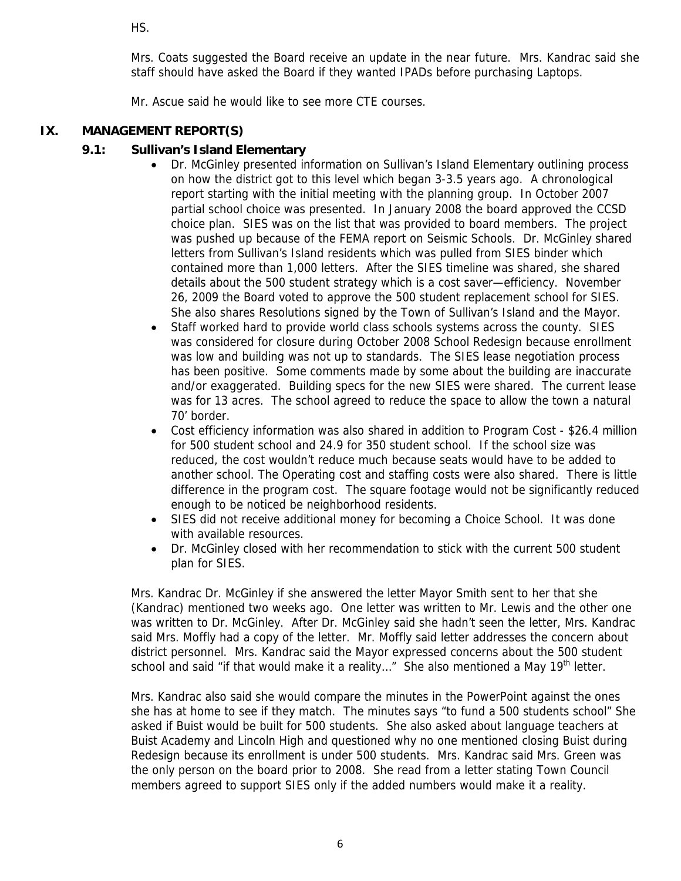HS.

Mrs. Coats suggested the Board receive an update in the near future. Mrs. Kandrac said she staff should have asked the Board if they wanted IPADs before purchasing Laptops.

Mr. Ascue said he would like to see more CTE courses.

# **IX. MANAGEMENT REPORT(S)**

# **9.1: Sullivan's Island Elementary**

- Dr. McGinley presented information on Sullivan's Island Elementary outlining process on how the district got to this level which began 3-3.5 years ago. A chronological report starting with the initial meeting with the planning group. In October 2007 partial school choice was presented. In January 2008 the board approved the CCSD choice plan. SIES was on the list that was provided to board members. The project was pushed up because of the FEMA report on Seismic Schools. Dr. McGinley shared letters from Sullivan's Island residents which was pulled from SIES binder which contained more than 1,000 letters. After the SIES timeline was shared, she shared details about the 500 student strategy which is a cost saver—efficiency. November 26, 2009 the Board voted to approve the 500 student replacement school for SIES. She also shares Resolutions signed by the Town of Sullivan's Island and the Mayor.
- Staff worked hard to provide world class schools systems across the county. SIES was considered for closure during October 2008 School Redesign because enrollment was low and building was not up to standards. The SIES lease negotiation process has been positive. Some comments made by some about the building are inaccurate and/or exaggerated. Building specs for the new SIES were shared. The current lease was for 13 acres. The school agreed to reduce the space to allow the town a natural 70' border.
- Cost efficiency information was also shared in addition to Program Cost \$26.4 million for 500 student school and 24.9 for 350 student school. If the school size was reduced, the cost wouldn't reduce much because seats would have to be added to another school. The Operating cost and staffing costs were also shared. There is little difference in the program cost. The square footage would not be significantly reduced enough to be noticed be neighborhood residents.
- SIES did not receive additional money for becoming a Choice School. It was done with available resources.
- Dr. McGinley closed with her recommendation to stick with the current 500 student plan for SIES.

Mrs. Kandrac Dr. McGinley if she answered the letter Mayor Smith sent to her that she (Kandrac) mentioned two weeks ago. One letter was written to Mr. Lewis and the other one was written to Dr. McGinley. After Dr. McGinley said she hadn't seen the letter, Mrs. Kandrac said Mrs. Moffly had a copy of the letter. Mr. Moffly said letter addresses the concern about district personnel. Mrs. Kandrac said the Mayor expressed concerns about the 500 student school and said "if that would make it a reality..." She also mentioned a May 19<sup>th</sup> letter.

Mrs. Kandrac also said she would compare the minutes in the PowerPoint against the ones she has at home to see if they match. The minutes says "to fund a 500 students school" She asked if Buist would be built for 500 students. She also asked about language teachers at Buist Academy and Lincoln High and questioned why no one mentioned closing Buist during Redesign because its enrollment is under 500 students. Mrs. Kandrac said Mrs. Green was the only person on the board prior to 2008. She read from a letter stating Town Council members agreed to support SIES only if the added numbers would make it a reality.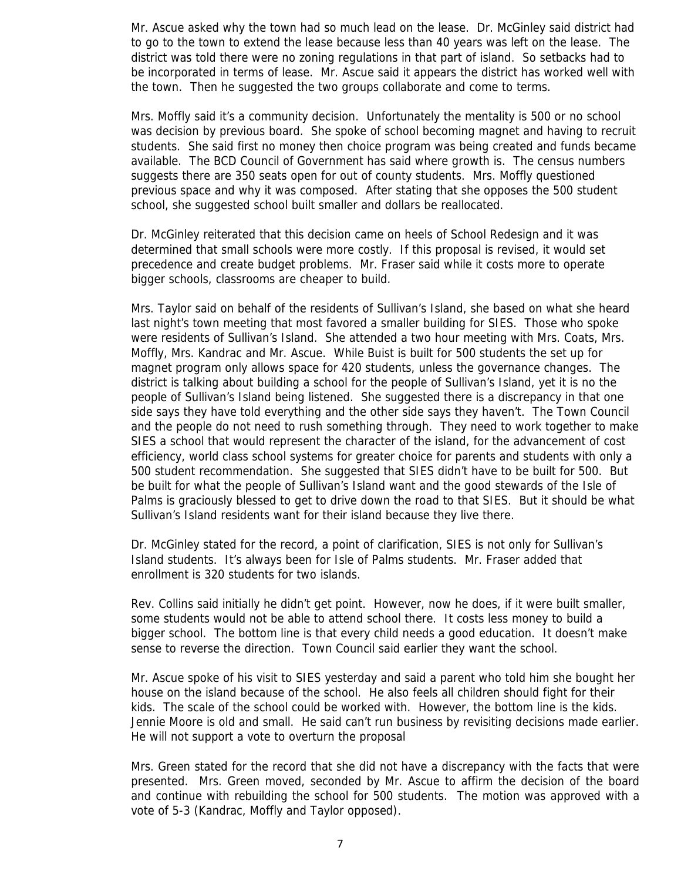Mr. Ascue asked why the town had so much lead on the lease. Dr. McGinley said district had to go to the town to extend the lease because less than 40 years was left on the lease. The district was told there were no zoning regulations in that part of island. So setbacks had to be incorporated in terms of lease. Mr. Ascue said it appears the district has worked well with the town. Then he suggested the two groups collaborate and come to terms.

Mrs. Moffly said it's a community decision. Unfortunately the mentality is 500 or no school was decision by previous board. She spoke of school becoming magnet and having to recruit students. She said first no money then choice program was being created and funds became available. The BCD Council of Government has said where growth is. The census numbers suggests there are 350 seats open for out of county students. Mrs. Moffly questioned previous space and why it was composed. After stating that she opposes the 500 student school, she suggested school built smaller and dollars be reallocated.

Dr. McGinley reiterated that this decision came on heels of School Redesign and it was determined that small schools were more costly. If this proposal is revised, it would set precedence and create budget problems. Mr. Fraser said while it costs more to operate bigger schools, classrooms are cheaper to build.

Mrs. Taylor said on behalf of the residents of Sullivan's Island, she based on what she heard last night's town meeting that most favored a smaller building for SIES. Those who spoke were residents of Sullivan's Island. She attended a two hour meeting with Mrs. Coats, Mrs. Moffly, Mrs. Kandrac and Mr. Ascue. While Buist is built for 500 students the set up for magnet program only allows space for 420 students, unless the governance changes. The district is talking about building a school for the people of Sullivan's Island, yet it is no the people of Sullivan's Island being listened. She suggested there is a discrepancy in that one side says they have told everything and the other side says they haven't. The Town Council and the people do not need to rush something through. They need to work together to make SIES a school that would represent the character of the island, for the advancement of cost efficiency, world class school systems for greater choice for parents and students with only a 500 student recommendation. She suggested that SIES didn't have to be built for 500. But be built for what the people of Sullivan's Island want and the good stewards of the Isle of Palms is graciously blessed to get to drive down the road to that SIES. But it should be what Sullivan's Island residents want for their island because they live there.

Dr. McGinley stated for the record, a point of clarification, SIES is not only for Sullivan's Island students. It's always been for Isle of Palms students. Mr. Fraser added that enrollment is 320 students for two islands.

Rev. Collins said initially he didn't get point. However, now he does, if it were built smaller, some students would not be able to attend school there. It costs less money to build a bigger school. The bottom line is that every child needs a good education. It doesn't make sense to reverse the direction. Town Council said earlier they want the school.

Mr. Ascue spoke of his visit to SIES yesterday and said a parent who told him she bought her house on the island because of the school. He also feels all children should fight for their kids. The scale of the school could be worked with. However, the bottom line is the kids. Jennie Moore is old and small. He said can't run business by revisiting decisions made earlier. He will not support a vote to overturn the proposal

Mrs. Green stated for the record that she did not have a discrepancy with the facts that were presented. Mrs. Green moved, seconded by Mr. Ascue to affirm the decision of the board and continue with rebuilding the school for 500 students. The motion was approved with a vote of 5-3 (Kandrac, Moffly and Taylor opposed).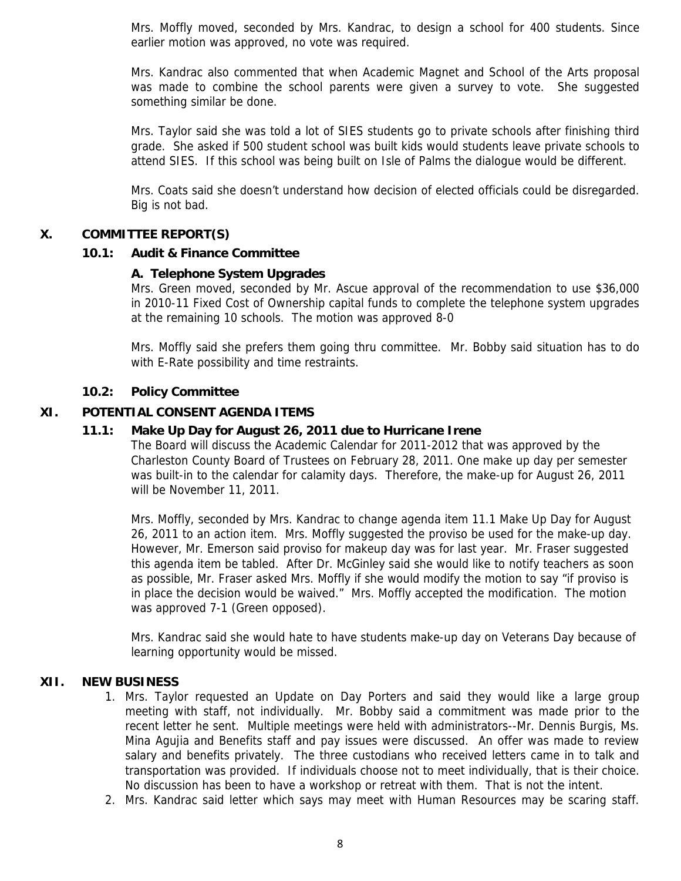Mrs. Moffly moved, seconded by Mrs. Kandrac, to design a school for 400 students. Since earlier motion was approved, no vote was required.

Mrs. Kandrac also commented that when Academic Magnet and School of the Arts proposal was made to combine the school parents were given a survey to vote. She suggested something similar be done.

Mrs. Taylor said she was told a lot of SIES students go to private schools after finishing third grade. She asked if 500 student school was built kids would students leave private schools to attend SIES. If this school was being built on Isle of Palms the dialogue would be different.

Mrs. Coats said she doesn't understand how decision of elected officials could be disregarded. Big is not bad.

### **X. COMMITTEE REPORT(S)**

### **10.1: Audit & Finance Committee**

### **A. Telephone System Upgrades**

Mrs. Green moved, seconded by Mr. Ascue approval of the recommendation to use \$36,000 in 2010-11 Fixed Cost of Ownership capital funds to complete the telephone system upgrades at the remaining 10 schools. The motion was approved 8-0

Mrs. Moffly said she prefers them going thru committee. Mr. Bobby said situation has to do with E-Rate possibility and time restraints.

### **10.2: Policy Committee**

### **XI. POTENTIAL CONSENT AGENDA ITEMS**

### **11.1: Make Up Day for August 26, 2011 due to Hurricane Irene**

The Board will discuss the Academic Calendar for 2011-2012 that was approved by the Charleston County Board of Trustees on February 28, 2011. One make up day per semester was built-in to the calendar for calamity days. Therefore, the make-up for August 26, 2011 will be November 11, 2011.

Mrs. Moffly, seconded by Mrs. Kandrac to change agenda item 11.1 Make Up Day for August 26, 2011 to an action item. Mrs. Moffly suggested the proviso be used for the make-up day. However, Mr. Emerson said proviso for makeup day was for last year. Mr. Fraser suggested this agenda item be tabled. After Dr. McGinley said she would like to notify teachers as soon as possible, Mr. Fraser asked Mrs. Moffly if she would modify the motion to say "if proviso is in place the decision would be waived." Mrs. Moffly accepted the modification. The motion was approved 7-1 (Green opposed).

Mrs. Kandrac said she would hate to have students make-up day on Veterans Day because of learning opportunity would be missed.

#### **XII. NEW BUSINESS**

- 1. Mrs. Taylor requested an Update on Day Porters and said they would like a large group meeting with staff, not individually. Mr. Bobby said a commitment was made prior to the recent letter he sent. Multiple meetings were held with administrators--Mr. Dennis Burgis, Ms. Mina Agujia and Benefits staff and pay issues were discussed. An offer was made to review salary and benefits privately. The three custodians who received letters came in to talk and transportation was provided. If individuals choose not to meet individually, that is their choice. No discussion has been to have a workshop or retreat with them. That is not the intent.
- 2. Mrs. Kandrac said letter which says may meet with Human Resources may be scaring staff.